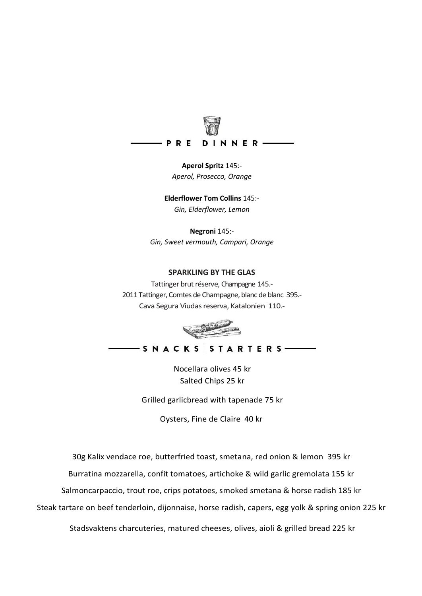

neral Prosecco Orano<br>Prosecco Orano *sek Aperol, Prosecco, Orange* **Aperol Spritz** 145:-

*Monkey 47, Dolin* **Elderflower Tom Collins** 145:- Elderflower, Lei *sek Gin, Elderflower, Lemon*

*Beefeater Gin, Campari, Antica Formula* **Negroni** 145: *sek Gin, Sweet vermouth, Campari, Orange*

#### *Juice* **SPARKLING BY THE GLAS**

er brut réserve *C*hamnagr *sek* Tattinger brut réserve, Champagne 145.- Champagne André Clouet *95*  Cava Segura Viudas reserva, Katalonien 110.- 2011 Tattinger, Comtes de Champagne, blanc de blanc 395.-



- S N A C K S S T A R T E R S —

Nocellara olives 45 kr<br>25 **August** 25 **August** *sek* Salted Chips 25 kr

Grilled garlicbread with tapenade 75 kr

Oysters, Fine de Claire 40 kr

*sek* 30g Kalix vendace roe, butterfried toast, smetana, red onion & lemon 395 kr

la, confit tomatoes, artichoke & wild garlig *sek* Burratina mozzarella, confit tomatoes, artichoke & wild garlic gremolata 155 kr

Salmoncarpaccio, trout roe, crips potatoes, smoked smetana & horse radish 185 kr

Steak tartare on beef tenderloin, dijonnaise, horse radish, capers, egg yolk & spring onion 225 kr

Stadsvaktens charcuteries, matured cheeses, olives, aioli & grilled bread 225 kr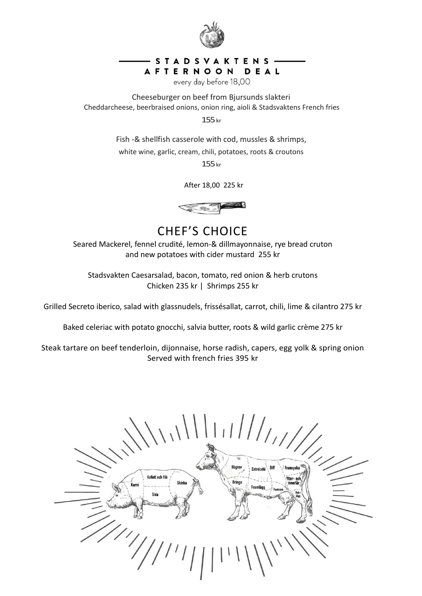

### STADSVAKTENS-AFTERNOON DEAL

every day before 18,00

Cheddarcheese, beerbraised onions, onion ring, aioli & Stadsvaktens French fries Cheeseburger on beef from Bjursunds slakteri

*135 sek* 155kr

*135 sek* Fish -& shellfish casserole with cod, mussles & shrimps, white wine, garlic, cream, chili, potatoes, roots & croutons

155<sub>kr</sub>

After 18,00 225 kr



and new potatoes with cider mustard 255 kr CHEF'S CHOICE Seared Mackerel, fennel crudité, lemon-& dillmayonnaise, rye bread cruton

paraa, bacon, comaco, rec *BBQ-marinated 175 sek* Chicken 235 kr | Shrimps 255 kr Stadsvakten Caesarsalad, bacon, tomato, red onion & herb crutons

Grilled Secreto iberico, salad with glassnudels, frissésallat, carrot, chili, lime & cilantro 275 kr

Baked celeriac with potato gnocchi, salvia butter, roots & wild garlic crème 275 kr

Steak tartare on beef tenderloin, dijonnaise, horse radish, capers, egg yolk & spring onion Served with french fries 395 kr

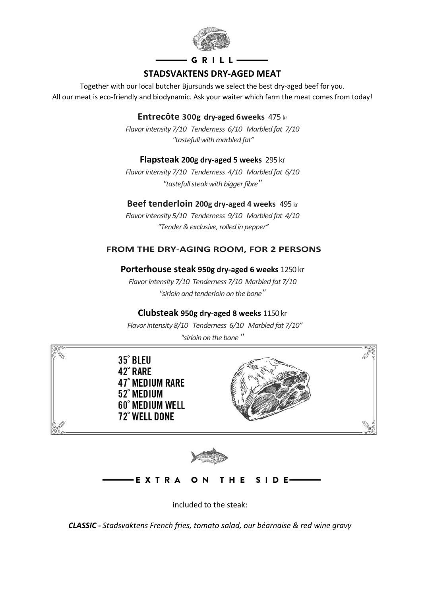

# $G$  R I L L  $-$ **STADSVAKTENS DRY-AGED MEAT**

Together with our local butcher Bjursunds we select the best dry-aged beef for you. All our meat is eco-friendly and biodynamic. Ask your waiter which farm the meat comes from today!

*almondpotatoes* **Entrecôte 300g dry-aged 6weeks** 475 kr

*Flavor intensity 7/10 Tenderness 6/10 Marbled fat 7/10 "tastefull with marbled fat"*

### **Flapsteak 200g dry-aged 5 weeks** 295 kr

*Flavor intensity 7/10 Tenderness 4/10 Marbled fat 6/10 "tastefull steak with bigger fibre"*

# **Beef tenderloin 200g dry-aged 4 weeks** 495 kr

*sek Flavor intensity 5/10 Tenderness 9/10 Marbled fat 4/10 BBQ-glaced "Tender & exclusive, rolled in pepper"*

#### Dry aged beef tenderloin, 4 weeks 200g *355*  FROM THE DRY-AGING ROOM, FOR 2 PERSONS

# **Porterhouse steak 950g dry-aged 6 weeks** 1250 kr

*Flavor intensity 7/10 Tenderness 7/10 Marbled fat 7/10 "sirloin and tenderloin on the bone"*

### **Clubsteak 950g dry-aged 8 weeks** 1150 kr

 *Flavor intensity 8/10 Tenderness 6/10 Marbled fat 7/10" "sirloin on the bone "*



**EXTRA** THE  $S$  | D E-

Home Made Fries, Potatoes au Gratin, Romansalad, included to the steak:

*20sek/st CLASSIC - Stadsvaktens French fries, tomato salad, our béarnaise & red wine gravy*